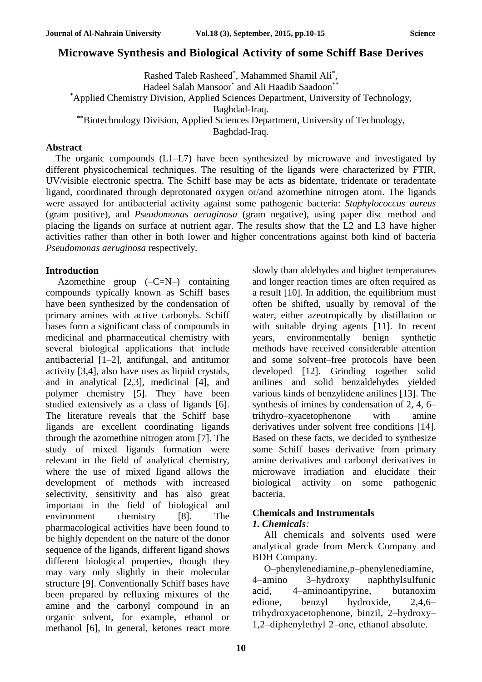# **Microwave Synthesis and Biological Activity of some Schiff Base Derives**

Rashed Taleb Rasheed\* , Mahammed Shamil Ali\* , Hadeel Salah Mansoor<sup>\*</sup> and Ali Haadib Saadoon<sup>\*\*</sup> \*Applied Chemistry Division, Applied Sciences Department, University of Technology, Baghdad-Iraq. **\*\***Biotechnology Division, Applied Sciences Department, University of Technology, Baghdad-Iraq.

#### **Abstract**

The organic compounds (L1–L7) have been synthesized by microwave and investigated by different physicochemical techniques. The resulting of the ligands were characterized by FTIR, UV/visible electronic spectra. The Schiff base may be acts as bidentate, tridentate or teradentate ligand, coordinated through deprotonated oxygen or/and azomethine nitrogen atom. The ligands were assayed for antibacterial activity against some pathogenic bacteria: *Staphylococcus aureus* (gram positive), and *Pseudomonas aeruginosa* (gram negative), using paper disc method and placing the ligands on surface at nutrient agar. The results show that the L2 and L3 have higher activities rather than other in both lower and higher concentrations against both kind of bacteria *Pseudomonas aeruginosa* respectively.

### **Introduction**

Azomethine group  $(-C=N-)$  containing compounds typically known as Schiff bases have been synthesized by the condensation of primary amines with active carbonyls. Schiff bases form a significant class of compounds in medicinal and pharmaceutical chemistry with several biological applications that include antibacterial [1–2], antifungal, and antitumor activity [3,4], also have uses as liquid crystals, and in analytical [2,3], medicinal [4], and polymer chemistry [5]. They have been studied extensively as a class of ligands [6]. The literature reveals that the Schiff base ligands are excellent coordinating ligands through the azomethine nitrogen atom [7]. The study of mixed ligands formation were relevant in the field of analytical chemistry, where the use of mixed ligand allows the development of methods with increased selectivity, sensitivity and has also great important in the field of biological and environment chemistry [8]. The pharmacological activities have been found to be highly dependent on the nature of the donor sequence of the ligands, different ligand shows different biological properties, though they may vary only slightly in their molecular structure [9]. Conventionally Schiff bases have been prepared by refluxing mixtures of the amine and the carbonyl compound in an organic solvent, for example, ethanol or methanol [6], In general, ketones react more slowly than aldehydes and higher temperatures and longer reaction times are often required as a result [10]. In addition, the equilibrium must often be shifted, usually by removal of the water, either azeotropically by distillation or with suitable drying agents [11]. In recent years, environmentally benign synthetic methods have received considerable attention and some solvent–free protocols have been developed [12]. Grinding together solid anilines and solid benzaldehydes yielded various kinds of benzylidene anilines [13]. The synthesis of imines by condensation of 2, 4, 6– trihydro–xyacetophenone with amine derivatives under solvent free conditions [14]. Based on these facts, we decided to synthesize some Schiff bases derivative from primary amine derivatives and carbonyl derivatives in microwave irradiation and elucidate their biological activity on some pathogenic bacteria.

## **Chemicals and Instrumentals**

### *1. Chemicals:*

All chemicals and solvents used were analytical grade from Merck Company and BDH Company.

O–phenylenediamine,p–phenylenediamine, 4–amino 3–hydroxy naphthylsulfunic acid, 4–aminoantipyrine, butanoxim edione, benzyl hydroxide, 2,4,6– trihydroxyacetophenone, binzil, 2–hydroxy– 1,2–diphenylethyl 2–one, ethanol absolute.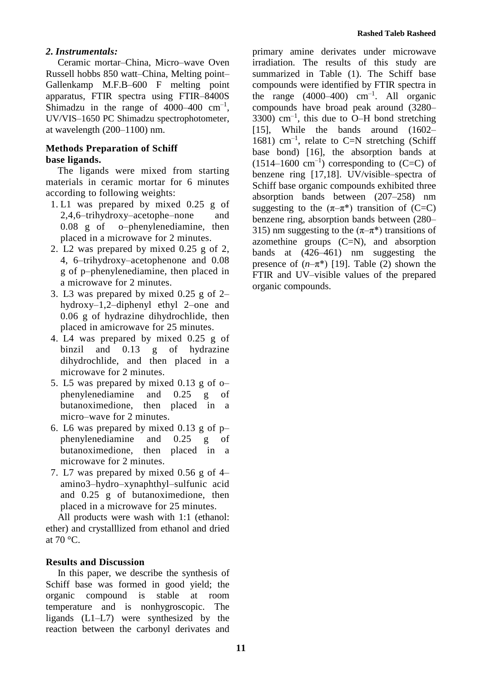## *2. Instrumentals:*

Ceramic mortar–China, Micro–wave Oven Russell hobbs 850 watt–China, Melting point– Gallenkamp M.F.B–600 F melting point apparatus, FTIR spectra using FTIR–8400S Shimadzu in the range of  $4000-400$  cm<sup>-1</sup>, UV/VIS–1650 PC Shimadzu spectrophotometer, at wavelength (200–1100) nm.

## **Methods Preparation of Schiff base ligands.**

The ligands were mixed from starting materials in ceramic mortar for 6 minutes according to following weights:

- 1. L1 was prepared by mixed 0.25 g of 2,4,6–trihydroxy–acetophe–none and 0.08 g of o–phenylenediamine, then placed in a microwave for 2 minutes.
- 2. L2 was prepared by mixed 0.25 g of 2, 4, 6–trihydroxy–acetophenone and 0.08 g of p–phenylenediamine, then placed in a microwave for 2 minutes.
- 3. L3 was prepared by mixed 0.25 g of 2– hydroxy–1,2–diphenyl ethyl 2–one and 0.06 g of hydrazine dihydrochlide, then placed in amicrowave for 25 minutes.
- 4. L4 was prepared by mixed 0.25 g of binzil and 0.13 g of hydrazine dihydrochlide, and then placed in a microwave for 2 minutes.
- 5. L5 was prepared by mixed 0.13 g of o– phenylenediamine and 0.25 g of butanoximedione, then placed in a micro–wave for 2 minutes.
- 6. L6 was prepared by mixed 0.13 g of p– phenylenediamine and 0.25 g of butanoximedione, then placed in a microwave for 2 minutes.
- 7. L7 was prepared by mixed 0.56 g of 4– amino3–hydro–xynaphthyl–sulfunic acid and 0.25 g of butanoximedione, then placed in a microwave for 25 minutes.

All products were wash with 1:1 (ethanol: ether) and crystalllized from ethanol and dried at  $70 °C$ .

## **Results and Discussion**

In this paper, we describe the synthesis of Schiff base was formed in good yield; the organic compound is stable at room temperature and is nonhygroscopic. The ligands (L1–L7) were synthesized by the reaction between the carbonyl derivates and primary amine derivates under microwave irradiation. The results of this study are summarized in Table (1). The Schiff base compounds were identified by FTIR spectra in the range  $(4000-400)$  cm<sup>-1</sup>. All organic compounds have broad peak around (3280–  $3300$ ) cm<sup>-1</sup>, this due to O-H bond stretching [15], While the bands around (1602– 1681)  $cm^{-1}$ , relate to C=N stretching (Schiff base bond) [16], the absorption bands at  $(1514-1600 \text{ cm}^{-1})$  corresponding to  $(C=C)$  of benzene ring [17,18]. UV/visible–spectra of Schiff base organic compounds exhibited three absorption bands between (207–258) nm suggesting to the  $(\pi-\pi^*)$  transition of (C=C) benzene ring, absorption bands between (280– 315) nm suggesting to the  $(\pi-\pi^*)$  transitions of azomethine groups  $(C=N)$ , and absorption bands at (426–461) nm suggesting the presence of  $(n-\pi^*)$  [19]. Table (2) shown the FTIR and UV–visible values of the prepared organic compounds.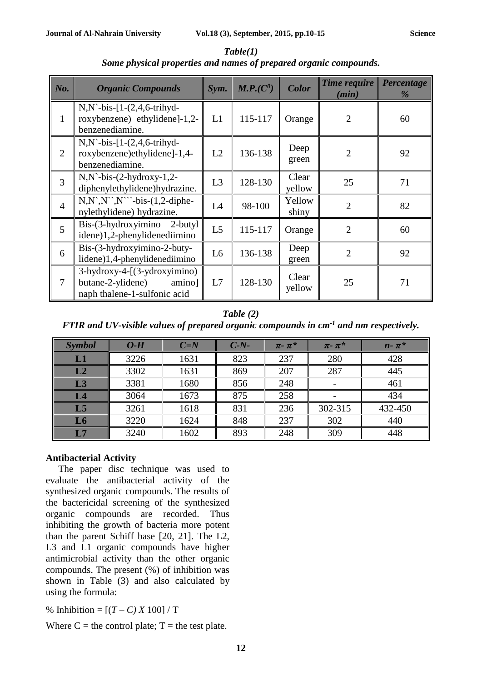| No.            | <b>Organic Compounds</b>                                                                          | Sym.           | M.P.(C <sup>0</sup> ) | <b>Color</b>    | Time require<br>(min) | Percentage<br>% |
|----------------|---------------------------------------------------------------------------------------------------|----------------|-----------------------|-----------------|-----------------------|-----------------|
|                | $N, N$ -bis-[1- $(2, 4, 6$ -trihyd-<br>roxybenzene) ethylidene]-1,2-<br>benzenediamine.           | L1             | 115-117               | Orange          | $\overline{2}$        | 60              |
| 2              | $N, N$ -bis-[1- $(2, 4, 6$ -trihyd-<br>roxybenzene)ethylidene]-1,4-<br>benzenediamine.            | L2             | 136-138               | Deep<br>green   | $\overline{2}$        | 92              |
| $\overline{3}$ | $N, N$ -bis- $(2-hydroxy-1,2-$<br>diphenylethylidene)hydrazine.                                   | L3             | 128-130               | Clear<br>yellow | 25                    | 71              |
| $\overline{4}$ | $N, N^{\prime\prime}, N^{\prime\prime}$ -bis-(1,2-diphe-<br>nylethylidene) hydrazine.             | L4             | 98-100                | Yellow<br>shiny | $\overline{2}$        | 82              |
| $\overline{5}$ | Bis-(3-hydroxyimino 2-butyl<br>idene)1,2-phenylidenediimino                                       | L <sub>5</sub> | 115-117               | Orange          | $\overline{2}$        | 60              |
| 6              | Bis-(3-hydroxyimino-2-buty-<br>lidene)1,4-phenylidenediimino                                      | L <sub>6</sub> | 136-138               | Deep<br>green   | $\overline{2}$        | 92              |
| 7              | $3$ -hydroxy-4- $(3$ -ydroxyimino)<br>butane-2-ylidene)<br>amino]<br>naph thalene-1-sulfonic acid | L7             | 128-130               | Clear<br>yellow | 25                    | 71              |

*Table(1) Some physical properties and names of prepared organic compounds.*

## *Table (2) FTIR and UV-visible values of prepared organic compounds in cm-1 and nm respectively.*

| <b>Symbol</b>  | $O-H$ | $C=N$ | $C-N-$ | $\pi$ - $\pi^*$ | $\pi$ - $\pi^*$ | $n - \pi^*$ |
|----------------|-------|-------|--------|-----------------|-----------------|-------------|
| L1             | 3226  | 1631  | 823    | 237             | 280             | 428         |
| L2             | 3302  | 1631  | 869    | 207             | 287             | 445         |
| L3             | 3381  | 1680  | 856    | 248             |                 | 461         |
| L4             | 3064  | 1673  | 875    | 258             |                 | 434         |
| L <sub>5</sub> | 3261  | 1618  | 831    | 236             | 302-315         | 432-450     |
| L <sub>6</sub> | 3220  | 1624  | 848    | 237             | 302             | 440         |
| L7             | 3240  | 1602  | 893    | 248             | 309             | 448         |

### **Antibacterial Activity**

The paper disc technique was used to evaluate the antibacterial activity of the synthesized organic compounds. The results of the bactericidal screening of the synthesized organic compounds are recorded. Thus inhibiting the growth of bacteria more potent than the parent Schiff base [20, 21]. The L2, L3 and L1 organic compounds have higher antimicrobial activity than the other organic compounds. The present (%) of inhibition was shown in Table (3) and also calculated by using the formula:

% Inhibition =  $[(T - C) X 100] / T$ 

Where  $C =$  the control plate;  $T =$  the test plate.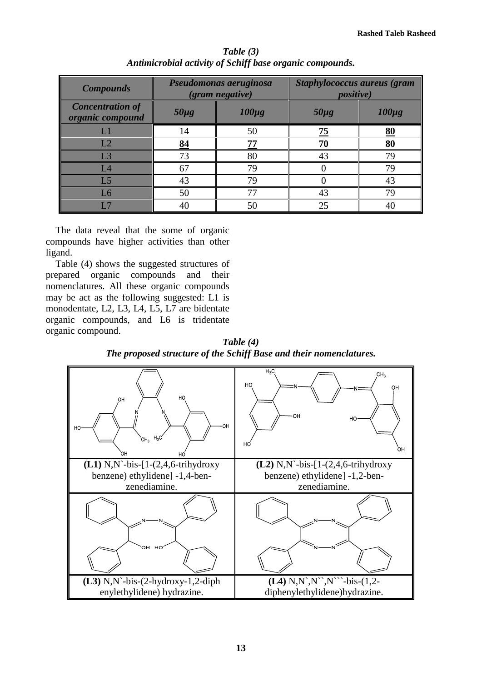| <b>Compounds</b>                            |           | Pseudomonas aeruginosa<br>(gram negative) | <b>Staphylococcus aureus (gram</b><br><i>positive</i> ) |            |  |
|---------------------------------------------|-----------|-------------------------------------------|---------------------------------------------------------|------------|--|
| <b>Concentration of</b><br>organic compound | $50\mu g$ | $100\mu g$                                | $50\mu g$                                               | $100\mu g$ |  |
|                                             | 14        | 50                                        | 75                                                      | 80         |  |
| L2                                          | 84        | 77                                        | 70                                                      | 80         |  |
| L <sub>3</sub>                              | 73        | 80                                        | 43                                                      | 79         |  |
| L4                                          | 67        | 79                                        |                                                         | 79         |  |
| L <sub>5</sub>                              | 43        | 79                                        |                                                         | 43         |  |
| L6                                          | 50        | 77                                        | 43                                                      | 79         |  |
|                                             | 40        | 50                                        | 25                                                      |            |  |

*Table (3) Antimicrobial activity of Schiff base organic compounds.*

The data reveal that the some of organic compounds have higher activities than other ligand.

Table (4) shows the suggested structures of prepared organic compounds and their nomenclatures. All these organic compounds may be act as the following suggested: L1 is monodentate, L2, L3, L4, L5, L7 are bidentate organic compounds, and L6 is tridentate organic compound.

*Table (4) The proposed structure of the Schiff Base and their nomenclatures.*

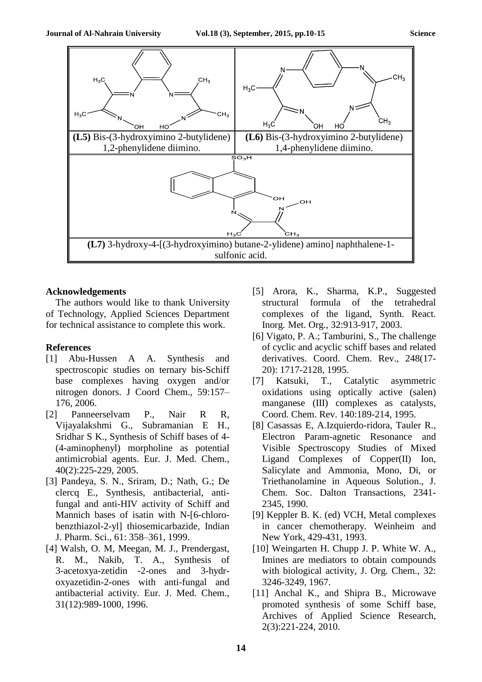

#### **Acknowledgements**

The authors would like to thank University of Technology, Applied Sciences Department for technical assistance to complete this work.

#### **References**

- [1] Abu-Hussen A A. Synthesis and spectroscopic studies on ternary bis-Schiff base complexes having oxygen and/or nitrogen donors. J Coord Chem., 59:157– 176, 2006.
- [2] Panneerselvam P., [Nair](http://www.sciencedirect.com/science/article/pii/S0223523404001886) R R, [Vijayalakshmi](http://www.sciencedirect.com/science/article/pii/S0223523404001886) G., [Subramanian](http://www.sciencedirect.com/science/article/pii/S0223523404001886) E H., [Sridhar](http://www.sciencedirect.com/science/article/pii/S0223523404001886) S K., Synthesis of Schiff bases of 4- (4-aminophenyl) morpholine as potential antimicrobial agents. Eur. J. Med. Chem., 40(2):225-229, 2005.
- [3] Pandeya, S. N., Sriram, D.; Nath, G.; De clercq E., Synthesis, antibacterial, antifungal and anti-HIV activity of Schiff and Mannich bases of isatin with N-[6-chlorobenzthiazol-2-yl] thiosemicarbazide, Indian J. Pharm. Sci., 61: 358–361, 1999.
- [4] Walsh, O. M, Meegan, M. J., Prendergast, R. M., Nakib, T. A., Synthesis of 3-acetoxya-zetidin -2-ones and 3-hydroxyazetidin-2-ones with anti-fungal and antibacterial activity. Eur. J. Med. Chem., 31(12):989-1000, 1996.
- [5] Arora, K., Sharma, K.P., Suggested structural formula of the tetrahedral complexes of the ligand, [Synth.](http://www.arkat-usa.org/get-file/27599) React. Inorg. Met. Org., [32:913-917,](http://www.arkat-usa.org/get-file/27599) 2003.
- [6] Vigato, P. A.; Tamburini, S., The challenge of cyclic and acyclic schiff bases and related derivatives. Coord. Chem. Rev., 248(17- 20): 1717-2128, 1995.
- [7] Katsuki, T., Catalytic asymmetric oxidations using optically active (salen) manganese (III) complexes as catalysts, Coord. Chem. Rev. 140:189-214, 1995.
- [8] Casassas E, A.Izquierdo-ridora, Tauler R., Electron Param-agnetic Resonance and Visible Spectroscopy Studies of Mixed Ligand Complexes of Copper(II) Ion, Salicylate and Ammonia, Mono, Di, or Triethanolamine in Aqueous Solution., J. Chem. Soc. Dalton Transactions, 2341- 2345, 1990.
- [9] Keppler B. K. (ed) VCH, Metal complexes in cancer chemotherapy. Weinheim and New York, 429-431, 1993.
- [10] Weingarten H. Chupp J. P. White W. A., Imines are mediators to obtain compounds with biological activity, J. Org. Chem., 32: 3246-3249, 1967.
- [11] Anchal K., and Shipra B., Microwave promoted synthesis of some Schiff base, Archives of Applied Science Research, 2(3):221-224, 2010.